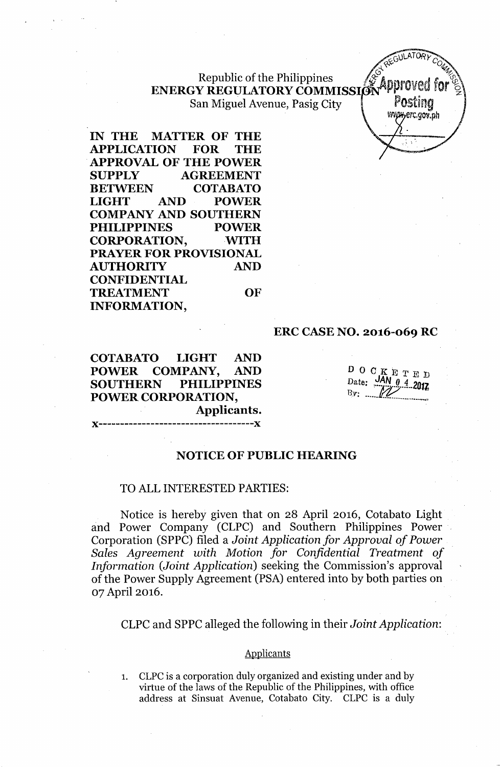## Republic of the Philippines  $\mathscr{C}_{\mathscr{A}}$  anneau and farter ENERGY REGULATORY COMMISSION PUT VELITORY San Miguel Avenue, Pasig City | P**OSting**

**EXAMPLE** PREGULATORY COM *v.* erc.gov.ph

**IN THE MATTER OF THE APPLICATION FOR THE APPROVAL OF THE POWER SUPPLY AGREEMENT BETWEEN COTABATO LIGHT AND POWER COMPANY AND SOUTHERN PHILIPPINES POWER** CORPORATION, WITH **PRAYER FOR PROVISIONAL AUTHORITY AND CONFIDENTIAL TREATMENT OF INFORMATION,**

**ERC CASE NO. 2016-069 RC**

**COTABATO LIGHT AND POWER COMPANY, AND SOUTHERN PHILIPPINES POWER CORPORATION, Applicants.**

)(------------------------------------)(

DOCKETED Date: JAN 0 4 2017 By: .....

### **NOTICE OF PUBLIC HEARING**

### TO ALL INTERESTED PARTIES:

Notice is hereby given that on 28 April 2016, Cotabato Light and Power Company (CLPC) and Southern Philippines Power Corporation (SPPC) filed a *Joint Application for Approval of Power Sales Agreement with Motion for Confidential Treatment of Information (Joint Application)* seeking the Commission's approval of the Power Supply Agreement (PSA) entered into by both parties on 07 April 2016.

CLPC and SPPC alleged the following in their *Joint Application:*

### **Applicants**

1. CLPC is a corporation duly organized and existing under and by virtue of the laws of the Republic of the Philippines, with office address at Sinsuat Avenue, Cotabato City. CLPC is a duly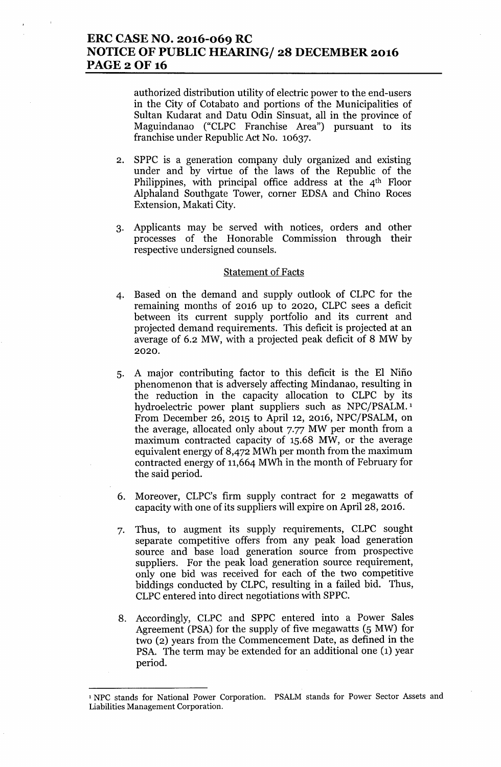## **ERC CASE NO. 2016-069 RC NOTICE OF PUBLIC HEARING/ 28 DECEMBER 2016** PAGE 2 OF 16

authorized distribution utility of electric power to the end-users in the City of Cotabato and portions of the Municipalities of Sultan Kudarat and Datu Odin Sinsuat, all in the province of Maguindanao ("CLPC Franchise Area") pursuant to its franchise under Republic Act No. 10637.

- 2. SPPC is a generation company duly organized and existing under and by virtue of the laws of the Republic of the Philippines, with principal office address at the  $4<sup>th</sup>$  Floor Alphaland Southgate Tower, corner EDSA and Chino Roces Extension, Makati City.
- 3. Applicants may be served with notices, orders and other processes of the Honorable Commission through their respective undersigned counsels.

#### Statement of Facts

- 4. Based on the demand and supply outlook of CLPC for the remaining months of 2016 up to 2020, CLPC sees a deficit between its current supply portfolio and its current and projected demand requirements. This deficit is projected at an average of 6.2 MW, with a projected peak deficit of 8 MW by 2020.
- 5. A major contributing factor to this deficit is the El Nifio phenomenon that is adversely affecting Mindanao, resulting in the reduction in the capacity allocation to CLPC by its hydroelectric power plant suppliers such as NPC/PSALM.<sup>1</sup> From December 26, 2015 to April 12, 2016, NPC/PSALM, on the average, allocated only about 7.77 MW per month from a maximum contracted capacity of 15.68 MW, or the average equivalent energy of 8,472 MWh per month from the maximum contracted energy of 11,664MWh in the month of February for the said period.
- 6. Moreover, CLPC's firm supply contract for 2 megawatts of capacity with one of its suppliers will expire on April 28, 2016.
- 7. Thus, to augment its supply requirements, CLPC sought separate competitive offers from any peak load generation source and base load generation source from prospective suppliers. For the peak load generation source requirement, only one bid was received for each of the two competitive biddings conducted by CLPC, resulting in a failed bid. Thus, CLPC entered into direct negotiations with SPPC.
- 8. Accordingly, CLPC and SPPC entered into a Power Sales Agreement (PSA) for the supply of five megawatts (5 MW) for two (2) years from the Commencement Date, as defined in the PSA. The term may be extended for an additional one (1) year period.

<sup>1</sup> NPC stands for National Power Corporation. PSALM stands for Power Sector Assets and Liabilities Management Corporation.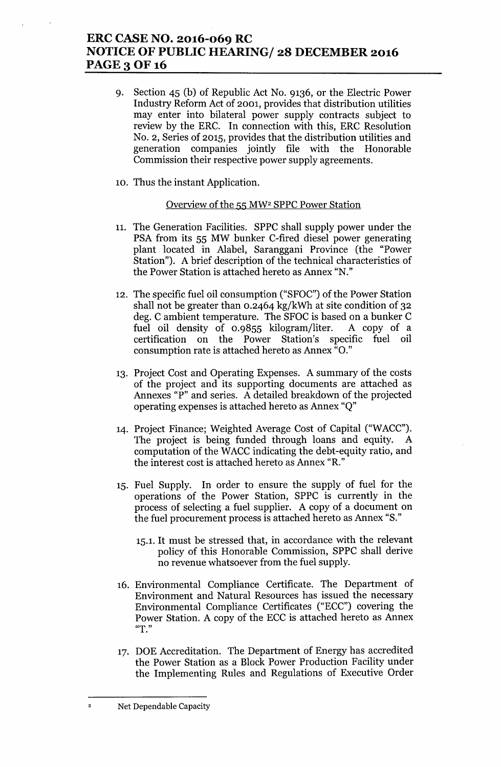# **ERC CASE NO. 2016-069 RC NOTICE OF PUBLIC HEARING/ 28 DECEMBER 2016** PAGE 3 OF 16

- 9. Section 45 (b) of Republic Act No. 9136, or the Electric Power Industry Reform Act of 2001, provides that distribution utilities may enter into bilateral power supply contracts subject to review by the ERC. In connection with this, ERC Resolution NO.2, Series of 2015, provides that the distribution utilities and generation companies jointly file with the Honorable Commission their respective power supply agreements.
- 10. Thus the instant Application.

### Overview of the 55 MW2 SPPC Power Station

- 11. The Generation Facilities. SPPC shall supply power under the PSA from its 55 MW bunker C-fired diesel power generating plant located in Alabel, Saranggani Province (the "Power Station"). A brief description of the technical characteristics of the Power Station is attached hereto as Annex "N."
- 12. The specific fuel oil consumption ("SFOC") of the Power Station shall not be greater than 0.2464 kg/kWh at site condition of 32 deg. C ambient temperature. The SFOC is based on a bunker C fuel oil density of 0.9855 kilogram/liter. A copy of a certification on the Power Station's specific fuel oil consumption rate is attached hereto as Annex "0."
- 13. Project Cost and Operating Expenses. A summary of the costs of the project and its supporting documents are attached as Annexes "P" and series. A detailed breakdown of the projected operating expenses is attached hereto as Annex "Q"
- 14. Project Finance; Weighted Average Cost of Capital ("WACC"). The project is being funded through loans and equity. A computation of the WACC indicating the debt-equity ratio, and the interest cost is attached hereto as Annex "R."
- 15. Fuel Supply. In order to ensure the supply of fuel for the operations of the Power Station, SPPC is currently in the process of selecting a fuel supplier. A copy of a document on the fuel procurement process is attached hereto as Annex "S."
	- 15.1. It must be stressed that, in accordance with the relevant policy of this Honorable Commission, SPPC shall derive no revenue whatsoever from the fuel supply.
- 16. Environmental Compliance Certificate. The Department of Environment and Natural Resources has issued the necessary Environmental Compliance Certificates ("ECC") covering the Power Station. A copy of the ECC is attached hereto as Annex **"T."**
- 17. DOE Accreditation. The Department of Energy has accredited the Power Station as a Block Power Production Facility under the Implementing Rules and Regulations of Executive Order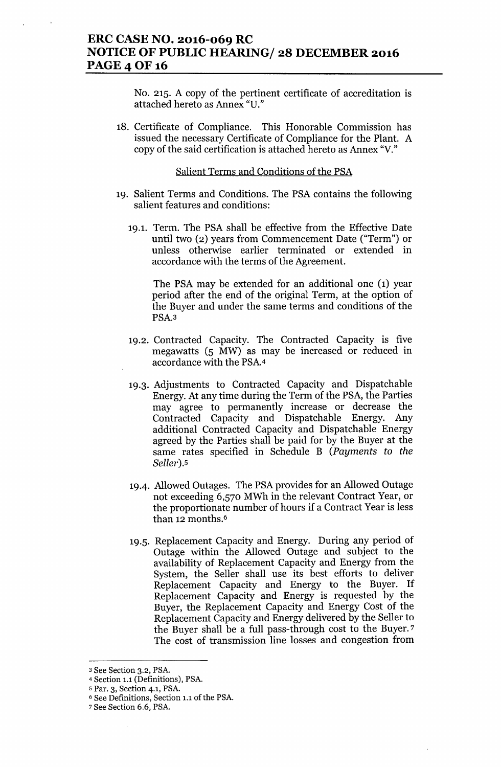## **ERC CASE NO. 2016-069 RC NOTICE OF PUBLIC HEARING/ 28 DECEMBER 2016 PAGE 4 OF 16**

No. 215. A copy of the pertinent certificate of accreditation is attached hereto as Annex "D."

18. Certificate of Compliance. This Honorable Commission has issued the necessary Certificate of Compliance for the Plant. A copy of the said certification is attached hereto as Annex "V."

### Salient Terms and Conditions of the PSA

- 19. Salient Terms and Conditions. The PSA contains the following salient features and conditions:
	- 19.1. Term. The PSA shall be effective from the Effective Date until two (2) years from Commencement Date ("Term") or unless otherwise earlier terminated or extended in accordance with the terms of the Agreement.

The PSA may be extended for an additional one (1) year period after the end of the original Term, at the option of the Buyer and under the same terms and conditions of the PSA.3

- 19.2. Contracted Capacity. The Contracted Capacity is five megawatts (5 MW) as may be increased or reduced in accordance with the PSA.4
- 19.3. Adjustments to Contracted Capacity and Dispatchable Energy. At any time during the Term of the PSA, the Parties may agree to permanently increase or decrease the Contracted Capacity and Dispatchable Energy. Any additional Contracted Capacity and Dispatchable Energy agreed by the Parties shall be paid for by the Buyer at the same rates specified in Schedule B *(Payments* to *the Seller).5*
- 19.4. Allowed Outages. The PSA provides for an Allowed Outage not exceeding 6,570 MWh in the relevant Contract Year, or the proportionate number of hours if a Contract Year is less than 12 months.<sup>6</sup>
- 19.5. Replacement Capacity and Energy. During any period of Outage within the Allowed Outage and subject to the availability of Replacement Capacity and Energy from the System, the Seller shall use its best efforts to deliver Replacement Capacity and Energy to the Buyer. If Replacement Capacity and Energy is requested by the Buyer, the Replacement Capacity and Energy Cost of the Replacement Capacity and Energy delivered by the Seller to the Buyer shall be a full pass-through cost to the Buyer. <sup>7</sup> The cost of transmission line losses and congestion from

<sup>3</sup> See Section 3.2, PSA.

<sup>4</sup> Section 1.1 (Definitions), PSA.

<sup>5</sup> Par. 3, Section 4.1, PSA.

<sup>6</sup> See Definitions, Section 1.1 of the PSA.

<sup>7</sup> See Section 6.6, PSA.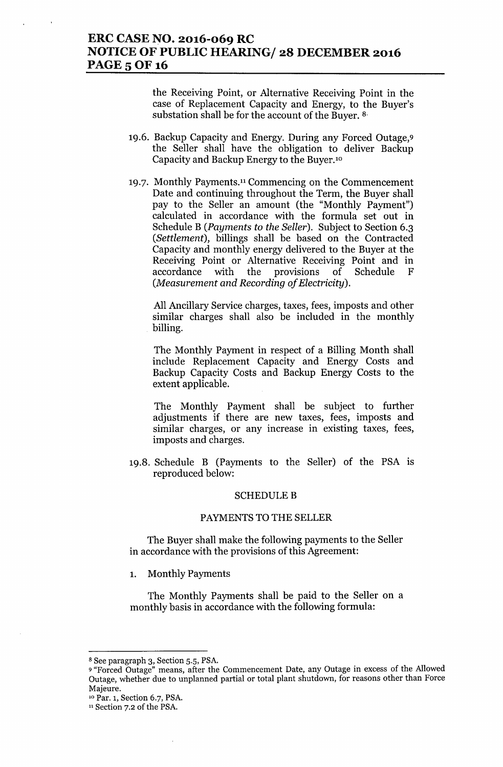## **ERC CASE NO. 2016-069 RC NOTICE OF PUBLIC HEARING/ 28 DECEMBER 2016** PAGE 5 OF 16

the Receiving Point, or Alternative Receiving Point in the case of Replacement Capacity and Energy, to the Buyer's substation shall be for the account of the Buyer. 8.

- 19.6. Backup Capacity and Energy. During any Forced Outage,9 the Seller shall have the obligation to deliver Backup Capacity and Backup Energy to the Buyer.<sup>10</sup>
- 19.7. Monthly Payments.l1 Commencing on the Commencement Date and continuing throughout the Term, the Buyer shall pay to the Seller an amount (the "Monthly Payment") calculated in accordance with the formula set out in Schedule B *(Payments* to *the Seller).* Subject to Section 6.3 *(Settlement),* billings shall be based on the Contracted Capacity and monthly energy delivered to the Buyer at the Receiving Point or Alternative Receiving Point and in accordance with the provisions of Schedule F *(Measurement and Recording of Electricity).*

All Ancillary Service charges, taxes, fees, imposts and other similar charges shall also be included in the monthly billing.

The Monthly Payment in respect of a Billing Month shall include Replacement Capacity and Energy Costs and Backup Capacity Costs and Backup Energy Costs to the extent applicable.

The Monthly Payment shall be subject to further adjustments if there are new taxes, fees, imposts and similar charges, or any increase in existing taxes, fees, imposts and charges.

19.8. Schedule B (Payments to the Seller) of the PSA IS reproduced below:

### **SCHEDULE B**

#### PAYMENTS TO THE SELLER

The Buyer shall make the following payments to the Seller in accordance with the provisions of this Agreement:

1. Monthly Payments

The Monthly Payments shall be paid to the Seller on a monthly basis in accordance with the following formula:

<sup>8</sup> See paragraph 3, Section 5.5, PSA.

<sup>9</sup> "Forced Outage" means, after the Commencement Date, any Outage in excess of the Allowed Outage, whether due to unplanned partial or total plant shutdown, for reasons other than Force Majeure.

<sup>10</sup> Par. 1, Section 6.7, PSA.

<sup>11</sup> Section 7.2 of the PSA.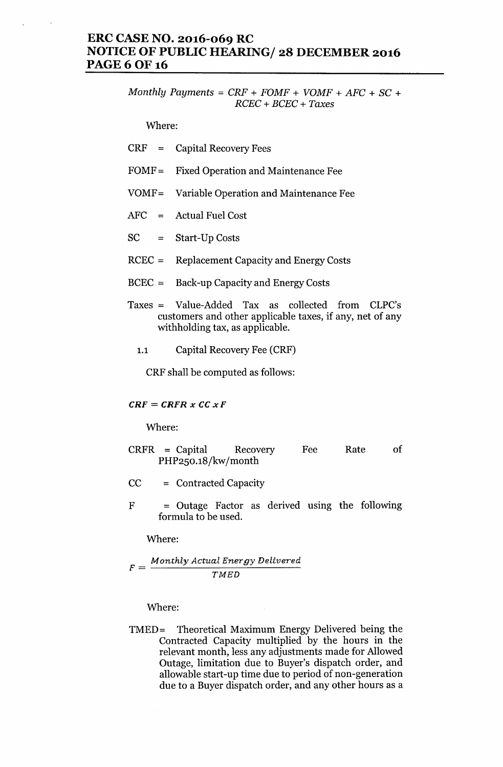### **ERC CASE NO. 2016-069 RC NOTICE OF PUBLIC HEARING/ 28 DECEMBER 2016 PAGE60F16**

*Monthly Payments* = *CRF* + *FOMF* + *VOMF* + *AFC* + SC + *RCEC* + *BCEC* + *Taxes*

Where:

| <b>CRF</b> | <b>Capital Recovery Fees</b> |
|------------|------------------------------|
|------------|------------------------------|

- FOMF = Fixed Operation and Maintenance Fee
- VOMF= Variable Operation and Maintenance Fee
- AFC = Actual Fuel Cost
- SC = Start-Up Costs
- RCEC = Replacement Capacity and Energy Costs
- BCEC = Back-up Capacity and Energy Costs
- Taxes = Value-Added Tax as collected from CLPC's customers and other applicable taxes, if any, net of any withholding tax, as applicable.
	- 1.1 Capital Recovery Fee (CRF)

CRF shall be computed as follows:

### *CRF* = *CRFR <sup>x</sup> CC xF*

Where:

- CRFR = Capital Recovery PHP250.18/kw/month Fee Rate of
- CC = Contracted Capacity
- $F = Outage Factor as derived using the following$ formula to be used.

Where:

 $F = \frac{Monthly \, Actually}{\frac{M \times T}{M \times T}}$ *TMBD*

Where:

TMED= Theoretical Maximum Energy Delivered being the Contracted Capacity multiplied by the hours in the relevant month, less any adjustments made for Allowed Outage, limitation due to Buyer's dispatch order, and allowable start-up time due to period of non-generation due to a Buyer dispatch order, and any other hours as a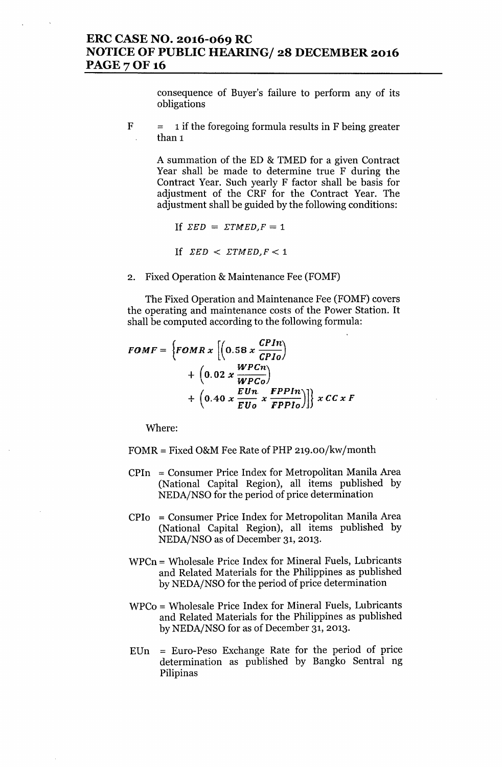consequence of Buyer's failure to perform any of its obligations

 $F = 1$  if the foregoing formula results in F being greater than 1

> A summation of the ED & TMED for a given Contract Year shall be made to determine true F during the Contract Year. Such yearly F factor shall be basis for adjustment of the CRF for the Contract Year. The adjustment shall be guided by the following conditions:

If 
$$
\Sigma ED = \Sigma TMED, F = 1
$$

If 
$$
\Sigma ED < \Sigma T MED, F < 1
$$

2. Fixed Operation & Maintenance Fee (FOMF)

The Fixed Operation and Maintenance Fee (FOMF) covers the operating and maintenance costs of the Power Station. It shall be computed according to the following formula:

$$
FOMF = \left\{FOMR x \left[ \left( 0.58 x \frac{GPIn}{GPIo} \right) + \left( 0.02 x \frac{WPCn}{WPCo} \right) + \left( 0.40 x \frac{EUn}{EUo} x \frac{FPPIn}{FPPIo} \right) \right] \right\} x CC x F
$$

Where:

- $FOMR = Fixed O&M$  Fee Rate of PHP 219.00/kw/month
- CPIn = Consumer Price Index for Metropolitan Manila Area (National Capital Region), all items published by NEDA/NSO for the period of price determination
- CPIo = Consumer Price Index for Metropolitan Manila Area (National Capital Region), all items published by NEDA/NSO as of December 31, 2013.
- WPCn = Wholesale Price Index for Mineral Fuels, Lubricants and Related Materials for the Philippines as published by NEDA/NSO for the period of price determination
- WPCo = Wholesale Price Index for Mineral Fuels, Lubricants and Related Materials for the Philippines as published by NEDA/NSO for as of December 31, 2013.
- EUn = Euro-Peso Exchange Rate for the period of price determination as published by Bangko Sentral ng Pilipinas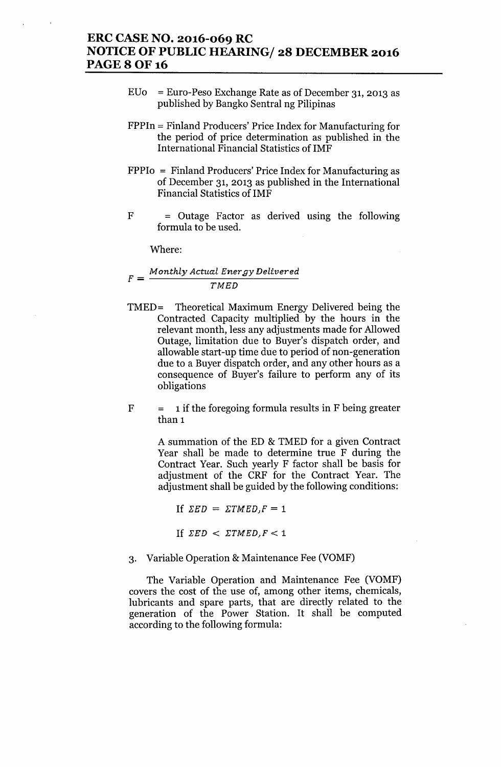### **ERC CASE NO. 2016-069 RC NOTICE OF PUBLIC HEARING/ 28 DECEMBER 2016 PAGE80F16**

- *EVo* = Euro-Peso Exchange Rate as of December 31,2013 as published by Bangko Sentral ng Pilipinas
- FPPIn = Finland Producers' Price Index for Manufacturing for the period of price determination as published in the International Financial Statistics of IMF
- FPPIo = Finland Producers' Price Index for Manufacturing as of December 31, 2013 as published in the International Financial Statistics of IMF
- $F =$  Outage Factor as derived using the following formula to be used.

Where:

### $F = \frac{Monthly \, Actually \, Actual \, Energy \, Delivered} {Bilner \, g}$ *TMED*

- TMED= Theoretical Maximum Energy Delivered being the Contracted Capacity multiplied by the hours in the relevant month, less any adjustments made for Allowed Outage, limitation due to Buyer's dispatch order, and allowable start-up time due to period of non-generation due to a Buyer dispatch order, and any other hours as a consequence of Buyer's failure to perform any of its obligations
- $F = 1$  if the foregoing formula results in F being greater than 1

A summation of the ED & TMED for a given Contract Year shall be made to determine true F during the Contract Year. Such yearly F factor shall be basis for adjustment of the CRF for the Contract Year. The adjustment shall be guided by the following conditions:

If  $\Sigma ED = \Sigma TMED, F = 1$ If  $\Sigma ED \leq \Sigma TMED, F \leq 1$ 

3. Variable Operation & Maintenance Fee (VOMF)

The Variable Operation and Maintenance Fee (VOMF) covers the cost of the use of, among other items, chemicals, lubricants and spare parts, that are directly related to the generation of the Power Station. It shall be computed according to the following formula: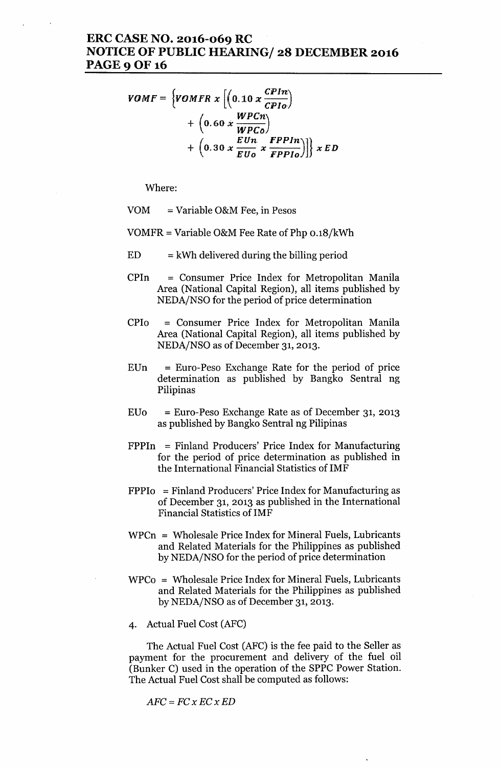## ERC CASE NO. 2016-069 RC NOTICE OF PUBLIC HEARING/ 28 DECEMBER 2016 PAGE 9 OF 16

$$
VOMF = \{VOMFR \times \left[ \left( 0.10 \times \frac{CPIn}{CPD} \right) + \left( 0.60 \times \frac{WPCn}{WPCo} \right) + \left( 0.30 \times \frac{EUn}{EUo} \times \frac{FPPIn}{FPPIo} \right) \right] \} \times ED
$$

Where:

VOM = Variable O&M Fee, in Pesos

VOMFR = Variable O&M Fee Rate of Php 0.18/kWh

- $ED = kWh$  delivered during the billing period
- CPIn = Consumer Price Index for Metropolitan Manila Area (National Capital Region), all items published by NEDA/NSO for the period of price determination
- CPIo = Consumer Price Index for Metropolitan Manila Area (National Capital Region), all items published by NEDA/NSO as of December 31, 2013.
- $EUn = Euro-Peso$  Exchange Rate for the period of price determination as published by Bangko Sentral ng Pilipinas
- $E$ Uo = Euro-Peso Exchange Rate as of December 31, 2013 as published by Bangko Sentral ng Pilipinas
- FPPIn = Finland Producers' Price Index for Manufacturing for the period of price determination as published in the International Financial Statistics of IMF
- $FPPI<sub>0</sub>$  = Finland Producers' Price Index for Manufacturing as of December 31, 2013 as published in the International Financial Statistics of IMF
- WPCn = Wholesale Price Index for Mineral Fuels, Lubricants and Related Materials for the Philippines as published by NEDA/NSO for the period of price determination
- WPCo = Wholesale Price Index for Mineral Fuels, Lubricants and Related Materials for the Philippines as published by NEDA/NSO as of December 31, 2013.
- 4. Actual Fuel Cost (AFC)

The Actual Fuel Cost (AFC) is the fee paid to the Seller as payment for the procurement and delivery of the fuel oil (Bunker C) used in the operation of the SPPC Power Station. The Actual Fuel Cost shall be computed as follows:

*AFC=FCxECxED*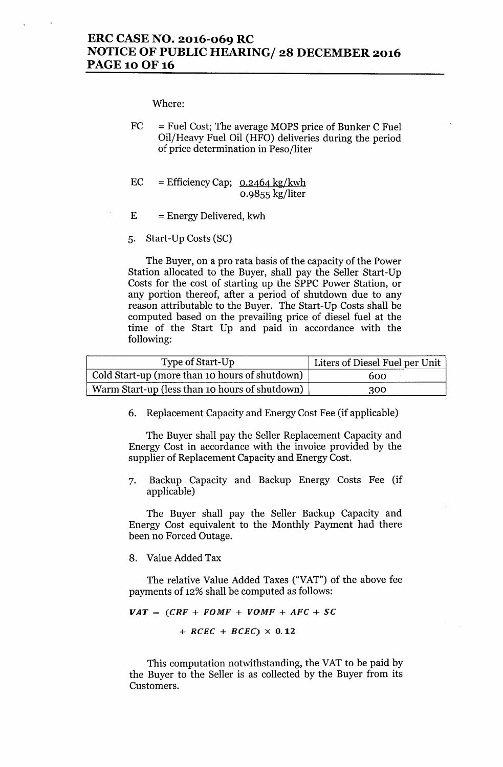Where:

- $FC = \text{Full Cost}$ ; The average MOPS price of Bunker C Fuel Oil/Heavy Fuel Oil (HFO) deliveries during the period of price determination in Peso/liter
- $EC = Effecticiency Cap; 0.2464 kg/kwh$ 0.9855 kg/liter
- $E =$  Energy Delivered, kwh
- 5. Start-Up Costs (SC)

The Buyer, on a pro rata basis of the capacity of the Power Station allocated to the Buyer, shall pay the Seller Start-Up Costs for the cost of starting up the SPPC Power Station, or any portion thereof, after a period of shutdown due to any reason attributable to the Buyer. The Start-Up Costs shall be computed based on the prevailing price of diesel fuel at the time of the Start Up and paid in accordance with the following:

| Type of Start-Up                               | Liters of Diesel Fuel per Unit |
|------------------------------------------------|--------------------------------|
| Cold Start-up (more than 10 hours of shutdown) | 600                            |
| Warm Start-up (less than 10 hours of shutdown) | 300                            |

6. Replacement Capacity and Energy Cost Fee (if applicable)

The Buyer shall pay the Seller Replacement Capacity and Energy Cost in accordance with the invoice provided by the supplier of Replacement Capacity and Energy Cost.

7. Backup Capacity and Backup Energy Costs Fee (if applicable)

The Buyer shall pay the Seller Backup Capacity and Energy Cost equivalent to the Monthly Payment had there been no Forced Outage.

8. Value Added Tax

The relative Value Added Taxes ("VAT") of the above fee payments of 12% shall be computed as follows:

```
VAT = (CRF + FOMF + VOMF + AFC + SC)
```
 $+$  *RCEC* + *BCEC*)  $\times$  0.12

This computation notwithstanding, the VAT to be paid by the Buyer to the Seller is as collected by the Buyer from its Customers.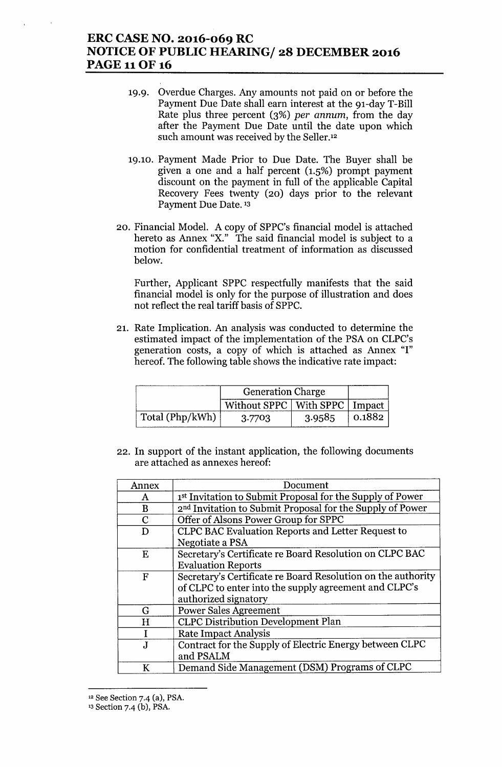# **ERC CASE NO. 2016-069 RC NOTICE OF PUBLIC HEARING/ 28 DECEMBER 2016** PAGE 11OF 16

- 19.9. Overdue Charges. Any amounts not paid on or before the Payment Due Date shall earn interest at the 91-day T-Bill Rate plus three percent (3%) *per annum,* from the day after the Payment Due Date until the date upon which such amount was received by the Seller.<sup>12</sup>
- 19.10. Payment Made Prior to Due Date. The Buyer shall be given a one and a half percent (1.5%) prompt payment discount on the payment in full of the applicable Capital Recovery Fees twenty (20) days prior to the relevant Payment Due Date. <sup>13</sup>
- 20. Financial Model. A copy of SPPC's financial model is attached hereto as Annex "X," The said financial model is subject to a motion for confidential treatment of information as discussed below.

Further, Applicant SPPC respectfully manifests that the said financial model is only for the purpose of illustration and does not reflect the real tariff basis of SPPC.

21. Rate Implication. An analysis was conducted to determine the estimated impact of the implementation of the PSA on CLPC's generation costs, a copy of which is attached as Annex "I" hereof. The following table shows the indicative rate impact:

|                 | <b>Generation Charge</b>          |        |                   |
|-----------------|-----------------------------------|--------|-------------------|
|                 | Without SPPC   With SPPC   Impact |        |                   |
| Total (Php/kWh) | 3.7703                            | 3.9585 | $^{\circ}$ 0.1882 |

22. In support of the instant application, the following documents are attached as annexes hereof:

| Annex        | Document                                                              |
|--------------|-----------------------------------------------------------------------|
| A            | 1st Invitation to Submit Proposal for the Supply of Power             |
| B            | 2 <sup>nd</sup> Invitation to Submit Proposal for the Supply of Power |
| $\mathbf C$  | Offer of Alsons Power Group for SPPC                                  |
| D            | CLPC BAC Evaluation Reports and Letter Request to                     |
|              | Negotiate a PSA                                                       |
| Ε            | Secretary's Certificate re Board Resolution on CLPC BAC               |
|              | <b>Evaluation Reports</b>                                             |
| F            | Secretary's Certificate re Board Resolution on the authority          |
|              | of CLPC to enter into the supply agreement and CLPC's                 |
|              | authorized signatory                                                  |
| G            | <b>Power Sales Agreement</b>                                          |
| H            | <b>CLPC Distribution Development Plan</b>                             |
| I            | <b>Rate Impact Analysis</b>                                           |
| $\mathbf{J}$ | Contract for the Supply of Electric Energy between CLPC               |
|              | and PSALM                                                             |
| K            | Demand Side Management (DSM) Programs of CLPC                         |

<sup>12</sup> See Section 7.4 (a), PSA.

<sup>13</sup> Section 7-4 (b), PSA.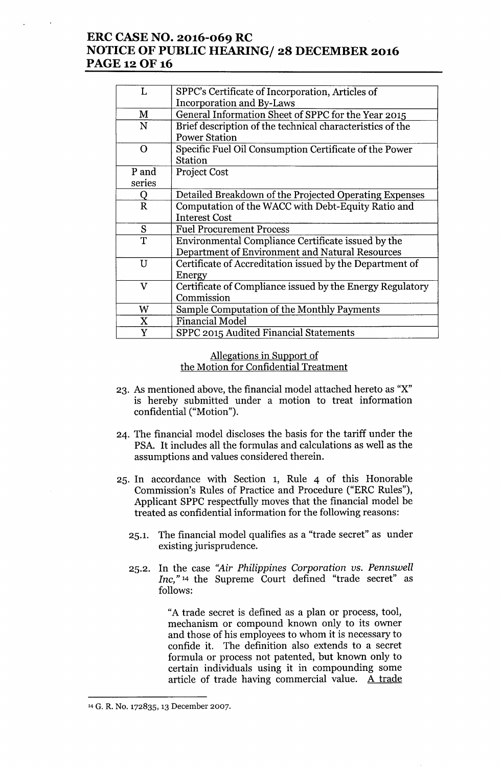# **ERC CASE NO. 2016-069 RC NOTICE OF PUBLIC HEARING/ 28 DECEMBER 2016 PAGE 12 OF 16**

| L            | SPPC's Certificate of Incorporation, Articles of          |
|--------------|-----------------------------------------------------------|
|              | Incorporation and By-Laws                                 |
| M            | General Information Sheet of SPPC for the Year 2015       |
| N            | Brief description of the technical characteristics of the |
|              | <b>Power Station</b>                                      |
| $\Omega$     | Specific Fuel Oil Consumption Certificate of the Power    |
|              | <b>Station</b>                                            |
| P and        | Project Cost                                              |
| series       |                                                           |
| Q            | Detailed Breakdown of the Projected Operating Expenses    |
| $\mathbf R$  | Computation of the WACC with Debt-Equity Ratio and        |
|              | <b>Interest Cost</b>                                      |
| S            | <b>Fuel Procurement Process</b>                           |
| T            | Environmental Compliance Certificate issued by the        |
|              | Department of Environment and Natural Resources           |
| U            | Certificate of Accreditation issued by the Department of  |
|              | Energy                                                    |
| $\mathbf{V}$ | Certificate of Compliance issued by the Energy Regulatory |
|              | Commission                                                |
| W            | Sample Computation of the Monthly Payments                |
| X            | <b>Financial Model</b>                                    |
| Y            | SPPC 2015 Audited Financial Statements                    |

### Allegations in Support of the Motion for Confidential Treatment

- 23. As mentioned above, the financial model attached hereto as "X" is hereby submitted under a motion to treat information confidential ("Motion").
- 24. The financial model discloses the basis for the tariff under the PSA. It includes all the formulas and calculations as well as the assumptions and values considered therein.
- 25. **In** accordance with Section 1, Rule 4 of this Honorable Commission's Rules of Practice and Procedure ("ERC Rules"), Applicant SPPC respectfully moves that the financial model be treated as confidential information for the following reasons:
	- 25.1. The financial model qualifies as a "trade secret" as under existing jurisprudence.
	- 25.2. **In** the case *"Air Philippines Corporation* us. *Pennswell Inc,"* <sup>14</sup> the Supreme Court defined "trade secret" as follows:

"A trade secret is defined as a plan or process, tool, mechanism or compound known only to its owner and those of his employees to whom it is necessary to confide it. The definition also extends to a secret formula or process not patented, but known only to certain individuals using it in compounding some article of trade having commercial value. A trade

<sup>14</sup> G. R. No. 172835, 13 December 2007.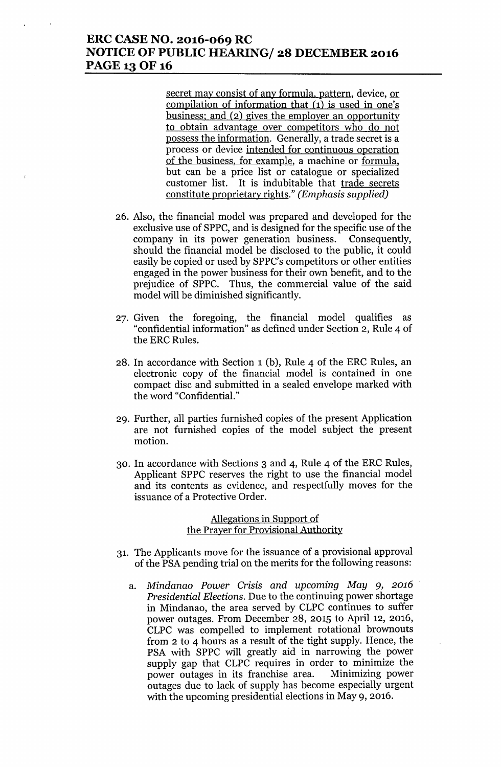# **ERC CASE NO. 2016-069 RC NOTICE OF PUBLIC HEARING/ 28 DECEMBER 2016 PAGE 13 OF 16**

secret may consist of any formula, pattern, device, or compilation of information that (1) is used in one's business; and (2) gives the employer an opportunity to obtain advantage over competitors who do not possess the information. Generally, a trade secret is a process or device intended for continuous operation of the business, for example, a machine or formula. but can be a price list or catalogue or specialized customer list. It is indubitable that trade secrets constitute proprietary rights." *(Emphasis supplied)*

- 26. Also, the financial model was prepared and developed for the exclusive use of SPPC, and is designed for the specific use of the company in its power generation business. Consequently, should the financial model be disclosed to the public, it could easily be copied or used by SPPC's competitors or other entities engaged in the power business for their own benefit, and to the prejudice of SPPC. Thus, the commercial value of the said model will be diminished significantly.
- 27. Given the foregoing, the financial model qualifies as "confidential information" as defined under Section 2, Rule 4 of the ERC Rules.
- 28. In accordance with Section 1(b), Rule 4 of the ERC Rules, an electronic copy of the financial model is contained in one compact disc and submitted in a sealed envelope marked with the word "Confidential."
- 29. Further, all parties furnished copies of the present Application are not furnished copies of the model subject the present motion.
- 30. In accordance with Sections 3 and 4, Rule 4 of the ERC Rules, Applicant SPPC reserves the right to use the financial model and its contents as evidence, and respectfully moves for the issuance of a Protective Order.

### Allegations in Support of the Prayer for Provisional Authority

- 31. The Applicants move for the issuance of a provisional approval of the PSA pending trial on the merits for the following reasons:
	- a. *Mindanao Power Crisis and upcoming May* 9, *2016 Presidential Elections.* Due to the continuing power shortage in Mindanao, the area served by CLPC continues to suffer power outages. From December 28, 2015 to April 12, 2016, CLPC was compelled to implement rotational brownouts from 2 to 4 hours as a result of the tight supply. Hence, the PSA with SPPC will greatly aid in narrowing the power supply gap that CLPC requires in order to minimize the power outages in its franchise area. Minimizing power outages due to lack of supply has become especially urgent with the upcoming presidential elections in May 9, 2016.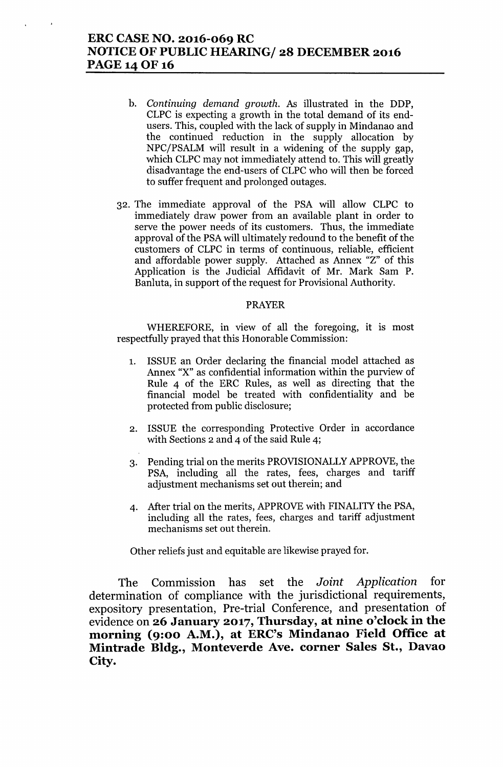# **ERC CASE NO. 2016-069 RC NOTICE OF PUBLIC HEARING/ 28 DECEMBER 2016 PAGE 14 OF 16**

- b. *Continuing demand growth.* As illustrated in the DDP, CLPC is expecting a growth in the total demand of its endusers. This, coupled with the lack of supply in Mindanao and the continued reduction in the supply allocation by NPC/PSALM will result in a widening of the supply gap, which CLPC may not immediately attend to. This will greatly disadvantage the end-users of CLPC who will then be forced to suffer frequent and prolonged outages.
- 32. The immediate approval of the PSA will allow CLPC to immediately draw power from an available plant in order to serve the power needs of its customers. Thus, the immediate approval of the PSA will ultimately redound to the benefit of the customers of CLPC in terms of continuous, reliable, efficient and affordable power supply. Attached as Annex "z" of this Application is the Judicial Affidavit of Mr. Mark Sam P. Banluta, in support of the request for Provisional Authority.

### PRAYER

WHEREFORE, in view of all the foregoing, it is most respectfully prayed that this Honorable Commission:

- 1. ISSUE an Order declaring the financial model attached as Annex "X" as confidential information within the purview of Rule 4 of the ERC Rules, as well as directing that the financial model be treated with confidentiality and be protected from public disclosure;
- 2. ISSUE the corresponding Protective Order in accordance with Sections 2 and 4 of the said Rule 4;
- 3. Pending trial on the merits PROVISIONALLY APPROVE, the PSA, including all the rates, fees, charges and tariff adjustment mechanisms set out therein; and
- 4. After trial on the merits, APPROVE with FINALITY the PSA, including all the rates, fees, charges and tariff adjustment mechanisms set out therein.

Other reliefs just and equitable are likewise prayed for.

The Commission has set the *Joint Application* for determination of compliance with the jurisdictional requirements, expository presentation, Pre-trial Conference, and presentation of evidence on **26 January 2017, Thursday, at nine o'clock in the morning (9:00 A.M.), at ERC's Mindanao Field Office at Mintrade Bldg., Monteverde Ave. corner Sales St., Davao City.**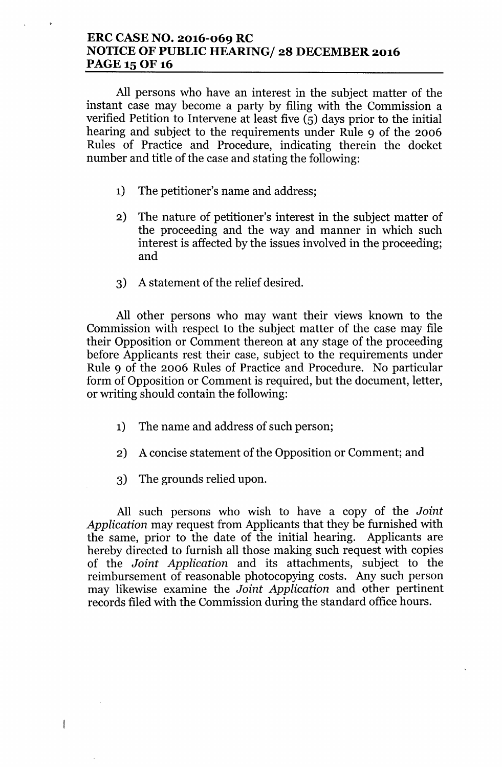# **ERC CASE NO. 2016-069 RC NOTICE OF PUBLIC HEARING/ 28 DECEMBER 2016 PAGE 15 OF 16**

All persons who have an interest in the subject matter of the instant case may become a party by filing with the Commission a verified Petition to Intervene at least five (5) days prior to the initial hearing and subject to the requirements under Rule 9 of the 2006 Rules of Practice and Procedure, indicating therein the docket number and title of the case and stating the following:

- 1) The petitioner's name and address;
- 2) The nature of petitioner's interest in the subject matter of the proceeding and the way and manner in which such interest is affected by the issues involved in the proceeding; and
- 3) A statement of the relief desired.

All other persons who may want their views known to the Commission with respect to the subject matter of the case may file their Opposition or Comment thereon at any stage of the proceeding before Applicants rest their case, subject to the requirements under Rule 9 of the 2006 Rules of Practice and Procedure. No particular form of Opposition or Comment is required, but the document, letter, or writing should contain the following:

- 1) The name and address of such person;
- 2) A concise statement of the Opposition or Comment; and
- 3) The grounds relied upon.

 $\overline{\phantom{a}}$ 

All such persons who wish to have a copy of the *Joint Application* may request from Applicants that they be furnished with the same, prior to the date of the initial hearing. Applicants are hereby directed to furnish all those making such request with copies of the *Joint Application* and its attachments, subject to the reimbursement of reasonable photocopying costs. Any such person may likewise examine the *Joint Application* and other pertinent records filed with the Commission during the standard office hours.